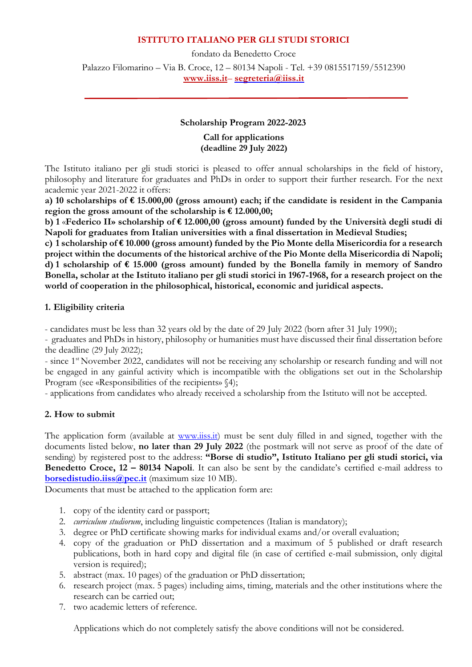## **ISTITUTO ITALIANO PER GLI STUDI STORICI**

fondato da Benedetto Croce Palazzo Filomarino – Via B. Croce, 12 – 80134 Napoli - Tel. +39 0815517159/5512390 **[www.iiss.it](http://www.iiss.it/)**– **[segreteria@iiss.it](mailto:segreteria@iiss.it)**

## **Scholarship Program 2022-2023**

**Call for applications (deadline 29 July 2022)**

The Istituto italiano per gli studi storici is pleased to offer annual scholarships in the field of history, philosophy and literature for graduates and PhDs in order to support their further research. For the next academic year 2021-2022 it offers:

**a) 10 scholarships of € 15.000,00 (gross amount) each; if the candidate is resident in the Campania region the gross amount of the scholarship is € 12.000,00;**

**b) 1** «**Federico II» scholarship of € 12.000,00 (gross amount) funded by the Università degli studi di Napoli for graduates from Italian universities with a final dissertation in Medieval Studies;**

**c) 1 scholarship of € 10.000 (gross amount) funded by the Pio Monte della Misericordia for a research project within the documents of the historical archive of the Pio Monte della Misericordia di Napoli; d) 1 scholarship of € 15.000 (gross amount) funded by the Bonella family in memory of Sandro Bonella, scholar at the Istituto italiano per gli studi storici in 1967-1968, for a research project on the world of cooperation in the philosophical, historical, economic and juridical aspects.**

#### **1. Eligibility criteria**

- candidates must be less than 32 years old by the date of 29 July 2022 (born after 31 July 1990);

- graduates and PhDs in history, philosophy or humanities must have discussed their final dissertation before the deadline (29 July 2022);

- since 1<sup>st</sup> November 2022, candidates will not be receiving any scholarship or research funding and will not be engaged in any gainful activity which is incompatible with the obligations set out in the Scholarship Program (see «Responsibilities of the recipients» §4);

- applications from candidates who already received a scholarship from the Istituto will not be accepted.

#### **2. How to submit**

The application form (available at [www.iiss.it\)](http://www.iiss.it/) must be sent duly filled in and signed, together with the documents listed below, **no later than 29 July 2022** (the postmark will not serve as proof of the date of sending) by registered post to the address: **"Borse di studio", Istituto Italiano per gli studi storici, via Benedetto Croce, 12 – 80134 Napoli**. It can also be sent by the candidate's certified e-mail address to **[borsedistudio.iiss@pec.it](mailto:borsedistudio.iiss@pec.it)** (maximum size 10 MB).

Documents that must be attached to the application form are:

- 1. copy of the identity card or passport;
- 2. *curriculum studiorum*, including linguistic competences (Italian is mandatory);
- 3. degree or PhD certificate showing marks for individual exams and/or overall evaluation;
- 4. copy of the graduation or PhD dissertation and a maximum of 5 published or draft research publications, both in hard copy and digital file (in case of certified e-mail submission, only digital version is required);
- 5. abstract (max. 10 pages) of the graduation or PhD dissertation;
- 6. research project (max. 5 pages) including aims, timing, materials and the other institutions where the research can be carried out;
- 7. two academic letters of reference.

Applications which do not completely satisfy the above conditions will not be considered.